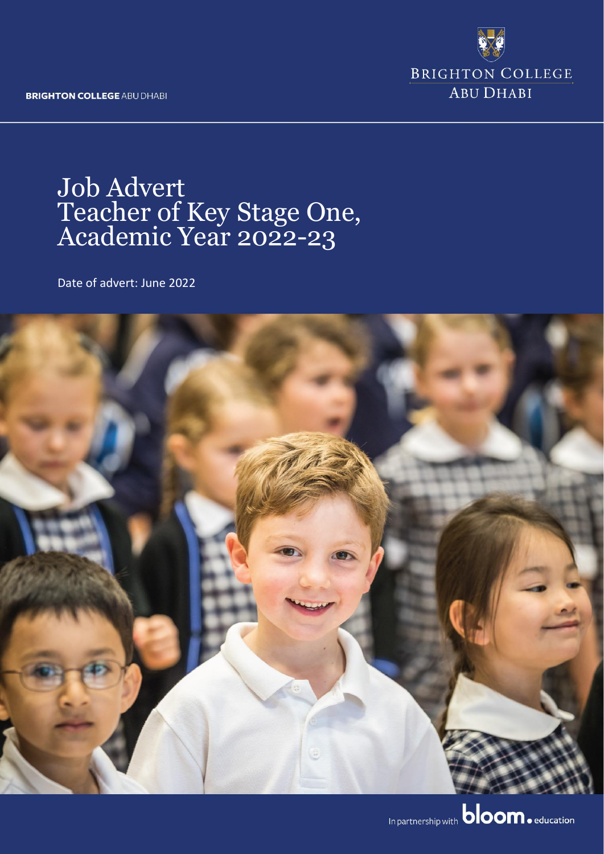**BRIGHTON COLLEGE ABU DHABI** 



# Job Advert Teacher of Key Stage One, Academic Year 2022-23

Date of advert: June 2022

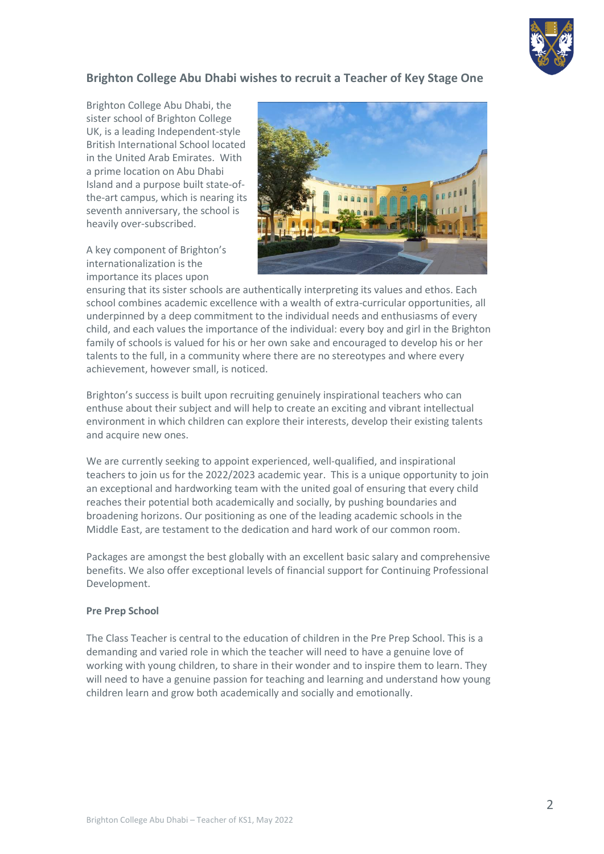

### **Brighton College Abu Dhabi wishes to recruit a Teacher of Key Stage One**

Brighton College Abu Dhabi, the sister school of Brighton College UK, is a leading Independent-style British International School located in the United Arab Emirates. With a prime location on Abu Dhabi Island and a purpose built state-ofthe-art campus, which is nearing its seventh anniversary, the school is heavily over-subscribed.

A key component of Brighton's internationalization is the importance its places upon



ensuring that its sister schools are authentically interpreting its values and ethos. Each school combines academic excellence with a wealth of extra-curricular opportunities, all underpinned by a deep commitment to the individual needs and enthusiasms of every child, and each values the importance of the individual: every boy and girl in the Brighton family of schools is valued for his or her own sake and encouraged to develop his or her talents to the full, in a community where there are no stereotypes and where every achievement, however small, is noticed.

Brighton's success is built upon recruiting genuinely inspirational teachers who can enthuse about their subject and will help to create an exciting and vibrant intellectual environment in which children can explore their interests, develop their existing talents and acquire new ones.

We are currently seeking to appoint experienced, well-qualified, and inspirational teachers to join us for the 2022/2023 academic year. This is a unique opportunity to join an exceptional and hardworking team with the united goal of ensuring that every child reaches their potential both academically and socially, by pushing boundaries and broadening horizons. Our positioning as one of the leading academic schools in the Middle East, are testament to the dedication and hard work of our common room.

Packages are amongst the best globally with an excellent basic salary and comprehensive benefits. We also offer exceptional levels of financial support for Continuing Professional Development.

#### **Pre Prep School**

The Class Teacher is central to the education of children in the Pre Prep School. This is a demanding and varied role in which the teacher will need to have a genuine love of working with young children, to share in their wonder and to inspire them to learn. They will need to have a genuine passion for teaching and learning and understand how young children learn and grow both academically and socially and emotionally.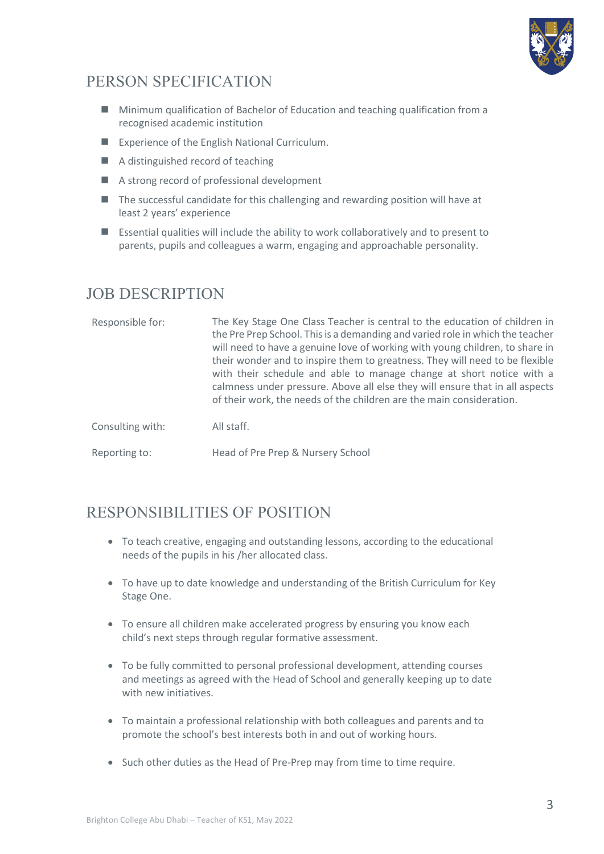

## PERSON SPECIFICATION

- Minimum qualification of Bachelor of Education and teaching qualification from a recognised academic institution
- Experience of the English National Curriculum.
- A distinguished record of teaching
- A strong record of professional development
- The successful candidate for this challenging and rewarding position will have at least 2 years' experience
- Essential qualities will include the ability to work collaboratively and to present to parents, pupils and colleagues a warm, engaging and approachable personality.

## JOB DESCRIPTION

| Responsible for: | The Key Stage One Class Teacher is central to the education of children in<br>the Pre Prep School. This is a demanding and varied role in which the teacher<br>will need to have a genuine love of working with young children, to share in<br>their wonder and to inspire them to greatness. They will need to be flexible<br>with their schedule and able to manage change at short notice with a<br>calmness under pressure. Above all else they will ensure that in all aspects<br>of their work, the needs of the children are the main consideration. |
|------------------|-------------------------------------------------------------------------------------------------------------------------------------------------------------------------------------------------------------------------------------------------------------------------------------------------------------------------------------------------------------------------------------------------------------------------------------------------------------------------------------------------------------------------------------------------------------|
| Consulting with: | All staff.                                                                                                                                                                                                                                                                                                                                                                                                                                                                                                                                                  |
| Reporting to:    | Head of Pre Prep & Nursery School                                                                                                                                                                                                                                                                                                                                                                                                                                                                                                                           |

## RESPONSIBILITIES OF POSITION

- To teach creative, engaging and outstanding lessons, according to the educational needs of the pupils in his /her allocated class.
- To have up to date knowledge and understanding of the British Curriculum for Key Stage One.
- To ensure all children make accelerated progress by ensuring you know each child's next steps through regular formative assessment.
- To be fully committed to personal professional development, attending courses and meetings as agreed with the Head of School and generally keeping up to date with new initiatives.
- To maintain a professional relationship with both colleagues and parents and to promote the school's best interests both in and out of working hours.
- Such other duties as the Head of Pre-Prep may from time to time require.